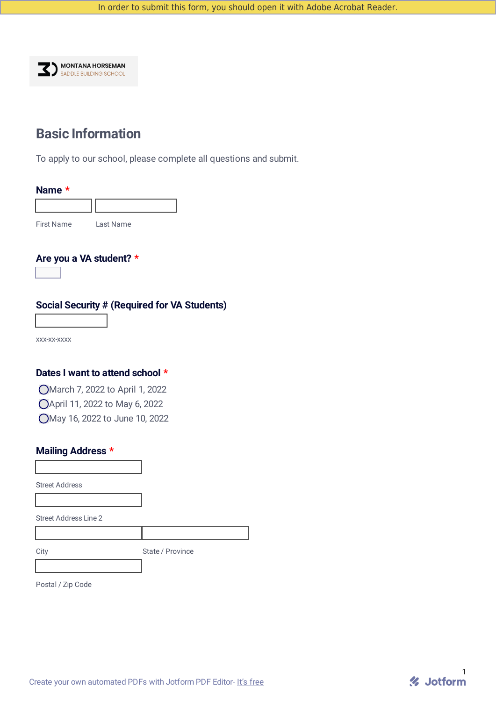

# **Basic Information**

To apply to our school, please complete all questions and submit.

| Name $*$          |           |  |
|-------------------|-----------|--|
|                   |           |  |
| <b>First Name</b> | Last Name |  |

### **Are you a VA student? \***

 $\overline{\mathbf{r}}$ 

### **Social Security # (Required for VA Students)**

xxx-xx-xxxx

## **Dates I want to attend school \***

March 7, 2022 to April 1, 2022 April 11, 2022 to May 6, 2022 May 16, 2022 to June 10, 2022

## **Mailing Address \***

Street Address

Street Address Line 2

City State / Province

Postal / Zip Code

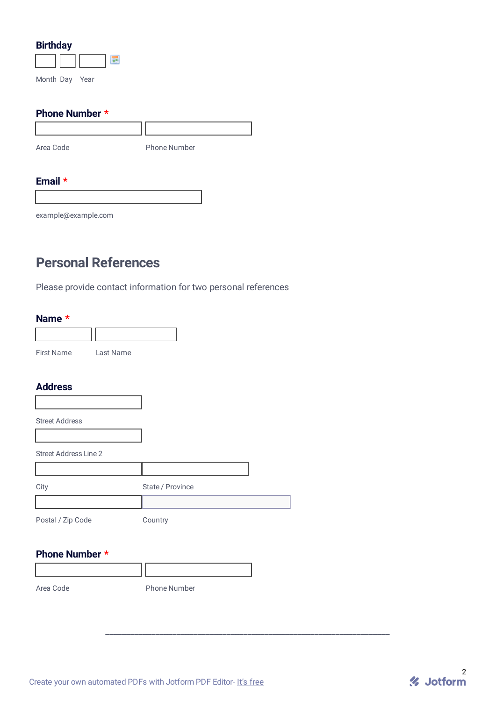| <b>Birthday</b> |  |
|-----------------|--|
|                 |  |

Month Day Year

## **Phone Number \***

| Area Code | <b>Phone Number</b> |
|-----------|---------------------|

**III** 

# **Email \***

example@example.com

# **Personal References**

Please provide contact information for two personal references

### **Name \***

| <b>First Name</b> | Last Name |
|-------------------|-----------|

## **Address**

| <b>Street Address</b>        |                  |  |
|------------------------------|------------------|--|
|                              |                  |  |
| <b>Street Address Line 2</b> |                  |  |
|                              |                  |  |
| City                         | State / Province |  |
|                              |                  |  |
| Postal / Zip Code            | Country          |  |

**Phone Number \***

Area Code **Phone Number** 

\_\_\_\_\_\_\_\_\_\_\_\_\_\_\_\_\_\_\_\_\_\_\_\_\_\_\_\_\_\_\_\_\_\_\_\_\_\_\_\_\_\_\_\_\_\_\_\_\_\_\_\_\_\_\_\_\_\_\_\_\_\_\_\_\_\_\_\_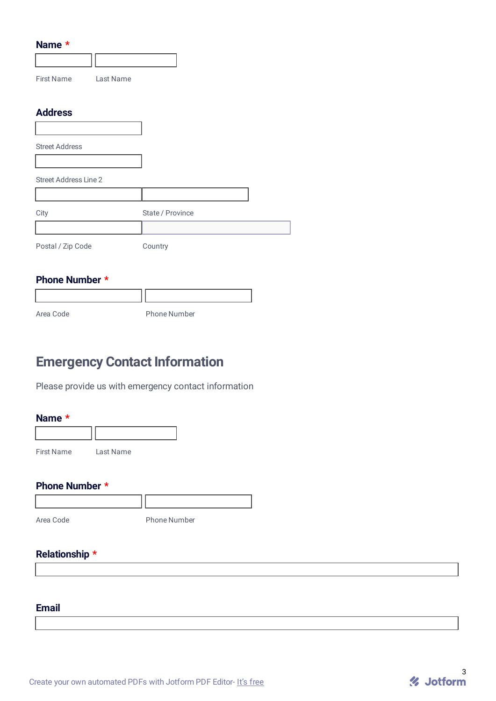| Name *                       |           |                  |
|------------------------------|-----------|------------------|
|                              |           |                  |
| <b>First Name</b>            | Last Name |                  |
|                              |           |                  |
| <b>Address</b>               |           |                  |
|                              |           |                  |
| <b>Street Address</b>        |           |                  |
|                              |           |                  |
| <b>Street Address Line 2</b> |           |                  |
|                              |           |                  |
| City                         |           | State / Province |
|                              |           |                  |
| Postal / Zip Code            |           | Country          |
|                              |           |                  |
| Phone Number *               |           |                  |

Area Code **Phone Number** 

 $\overline{\phantom{a}}$ 

# **Emergency Contact Information**

Please provide us with emergency contact information

| <b>Name</b> |  |
|-------------|--|
|-------------|--|

| <b>First Name</b> | Last Name |
|-------------------|-----------|
|                   |           |

Ш

**Phone Number \***

Area Code Phone Number

**Relationship \***

**Email**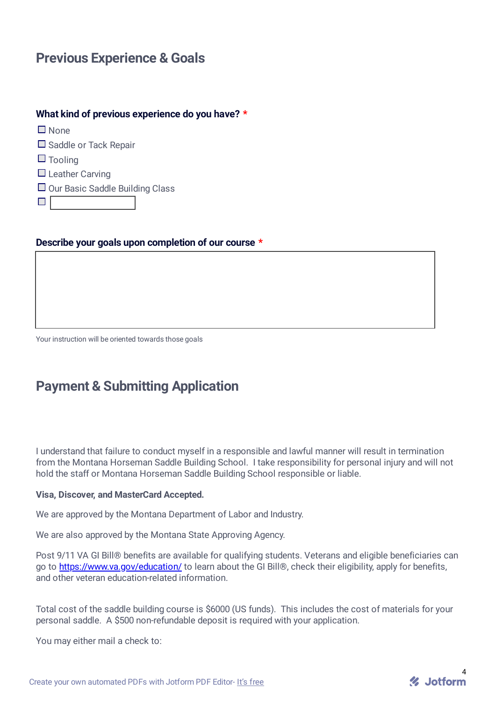# **Previous Experience & Goals**

# **What kind of previous experience do you have? \***

None □ Saddle or Tack Repair  $\Box$  Tooling  $\Box$  Leather Carving  $\Box$  Our Basic Saddle Building Class  $\Box$ 

### **Describe your goals upon completion of our course \***

Your instruction will be oriented towards those goals

# **Payment & Submitting Application**

I understand that failure to conduct myself in a responsible and lawful manner will result in termination from the Montana Horseman Saddle Building School. I take responsibility for personal injury and will not hold the staff or Montana Horseman Saddle Building School responsible or liable.

### **Visa, Discover, and MasterCard Accepted.**

We are approved by the Montana Department of Labor and Industry.

We are also approved by the Montana State Approving Agency.

Post 9/11 VA GI Bill® benefits are available for qualifying students. Veterans and eligible beneficiaries can go to <https://www.va.gov/education/> to learn about the GI Bill®, check their eligibility, apply for benefits, and other veteran education-related information.

Total cost of the saddle building course is \$6000 (US funds). This includes the cost of materials for your personal saddle. A \$500 non-refundable deposit is required with your application.

You may either mail a check to: